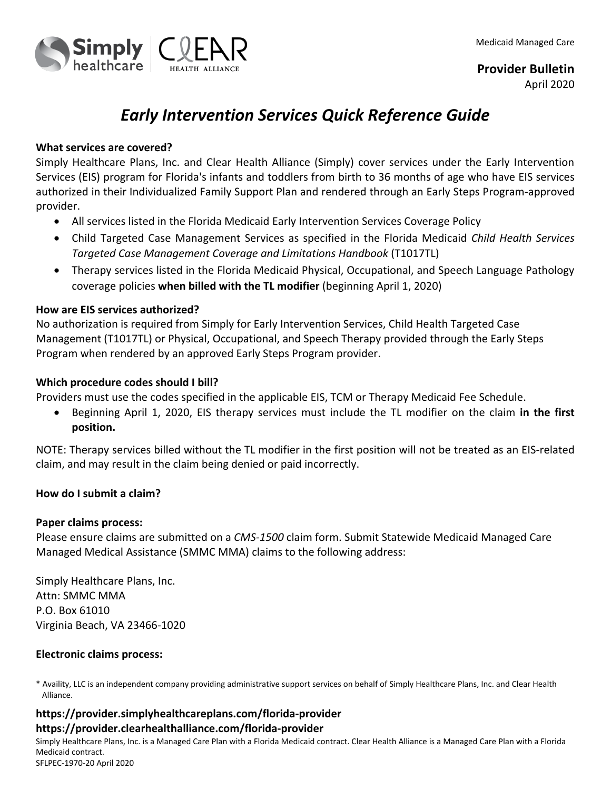

# *Early Intervention Services Quick Reference Guide*

### **What services are covered?**

Simply Healthcare Plans, Inc. and Clear Health Alliance (Simply) cover services under the Early Intervention Services (EIS) program for Florida's infants and toddlers from birth to 36 months of age who have EIS services authorized in their Individualized Family Support Plan and rendered through an Early Steps Program-approved provider.

- All services listed in the Florida Medicaid Early Intervention Services Coverage Policy
- Child Targeted Case Management Services as specified in the Florida Medicaid *Child Health Services Targeted Case Management Coverage and Limitations Handbook* (T1017TL)
- Therapy services listed in the Florida Medicaid Physical, Occupational, and Speech Language Pathology coverage policies **when billed with the TL modifier** (beginning April 1, 2020)

### **How are EIS services authorized?**

No authorization is required from Simply for Early Intervention Services, Child Health Targeted Case Management (T1017TL) or Physical, Occupational, and Speech Therapy provided through the Early Steps Program when rendered by an approved Early Steps Program provider.

### **Which procedure codes should I bill?**

Providers must use the codes specified in the applicable EIS, TCM or Therapy Medicaid Fee Schedule.

 Beginning April 1, 2020, EIS therapy services must include the TL modifier on the claim **in the first position.**

NOTE: Therapy services billed without the TL modifier in the first position will not be treated as an EIS-related claim, and may result in the claim being denied or paid incorrectly.

# **How do I submit a claim?**

#### **Paper claims process:**

Please ensure claims are submitted on a *CMS-1500* claim form. Submit Statewide Medicaid Managed Care Managed Medical Assistance (SMMC MMA) claims to the following address:

Simply Healthcare Plans, Inc. Attn: SMMC MMA P.O. Box 61010 Virginia Beach, VA 23466-1020

# **Electronic claims process:**

\* Availity, LLC is an independent company providing administrative support services on behalf of Simply Healthcare Plans, Inc. and Clear Health Alliance.

# **https://provider.simplyhealthcareplans.com/florida-provider https://provider.clearhealthalliance.com/florida-provider**

Simply Healthcare Plans, Inc. is a Managed Care Plan with a Florida Medicaid contract. Clear Health Alliance is a Managed Care Plan with a Florida Medicaid contract. SFLPEC-1970-20 April 2020